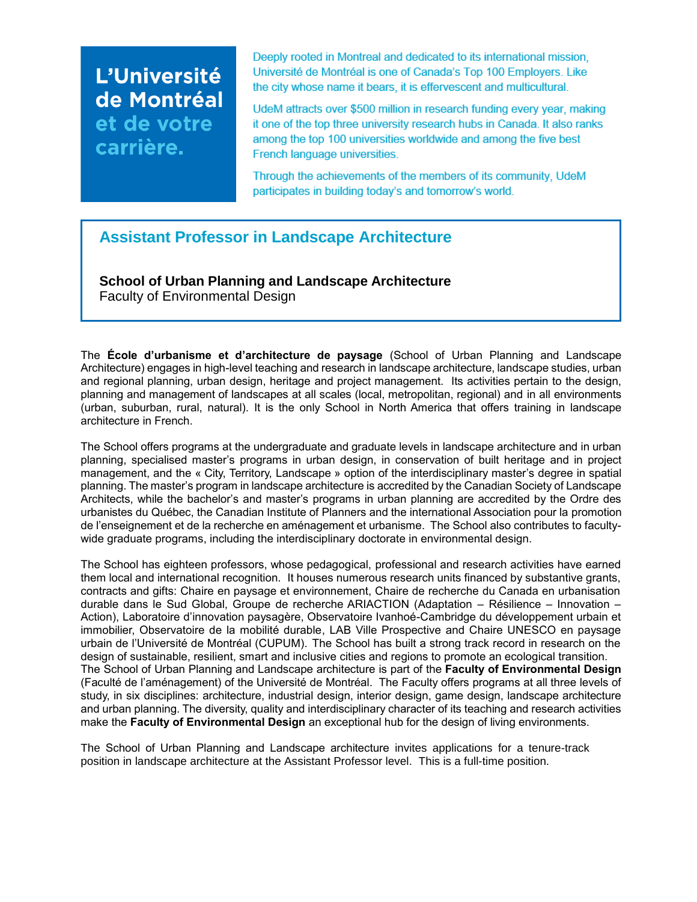# L'Université de Montréal et de votre carrière.

Deeply rooted in Montreal and dedicated to its international mission, Université de Montréal is one of Canada's Top 100 Employers. Like the city whose name it bears, it is effervescent and multicultural.

UdeM attracts over \$500 million in research funding every year, making it one of the top three university research hubs in Canada. It also ranks among the top 100 universities worldwide and among the five best French language universities.

Through the achievements of the members of its community, UdeM participates in building today's and tomorrow's world.

# **Assistant Professor in Landscape Architecture**

**School of Urban Planning and Landscape Architecture** Faculty of Environmental Design

The **École d'urbanisme et d'architecture de paysage** (School of Urban Planning and Landscape Architecture) engages in high-level teaching and research in landscape architecture, landscape studies, urban and regional planning, urban design, heritage and project management. Its activities pertain to the design, planning and management of landscapes at all scales (local, metropolitan, regional) and in all environments (urban, suburban, rural, natural). It is the only School in North America that offers training in landscape architecture in French.

The School offers programs at the undergraduate and graduate levels in landscape architecture and in urban planning, specialised master's programs in urban design, in conservation of built heritage and in project management, and the « City, Territory, Landscape » option of the interdisciplinary master's degree in spatial planning. The master's program in landscape architecture is accredited by the Canadian Society of Landscape Architects, while the bachelor's and master's programs in urban planning are accredited by the Ordre des urbanistes du Québec, the Canadian Institute of Planners and the international Association pour la promotion de l'enseignement et de la recherche en aménagement et urbanisme. The School also contributes to facultywide graduate programs, including the interdisciplinary doctorate in environmental design.

The School has eighteen professors, whose pedagogical, professional and research activities have earned them local and international recognition. It houses numerous research units financed by substantive grants, contracts and gifts: Chaire en paysage et environnement, Chaire de recherche du Canada en urbanisation durable dans le Sud Global, Groupe de recherche ARIACTION (Adaptation – Résilience – Innovation – Action), Laboratoire d'innovation paysagère, Observatoire Ivanhoé-Cambridge du développement urbain et immobilier, Observatoire de la mobilité durable, LAB Ville Prospective and Chaire UNESCO en paysage urbain de l'Université de Montréal (CUPUM). The School has built a strong track record in research on the design of sustainable, resilient, smart and inclusive cities and regions to promote an ecological transition. The School of Urban Planning and Landscape architecture is part of the **Faculty of Environmental Design** (Faculté de l'aménagement) of the Université de Montréal. The Faculty offers programs at all three levels of study, in six disciplines: architecture, industrial design, interior design, game design, landscape architecture and urban planning. The diversity, quality and interdisciplinary character of its teaching and research activities make the **Faculty of Environmental Design** an exceptional hub for the design of living environments.

The School of Urban Planning and Landscape architecture invites applications for a tenure-track position in landscape architecture at the Assistant Professor level. This is a full-time position.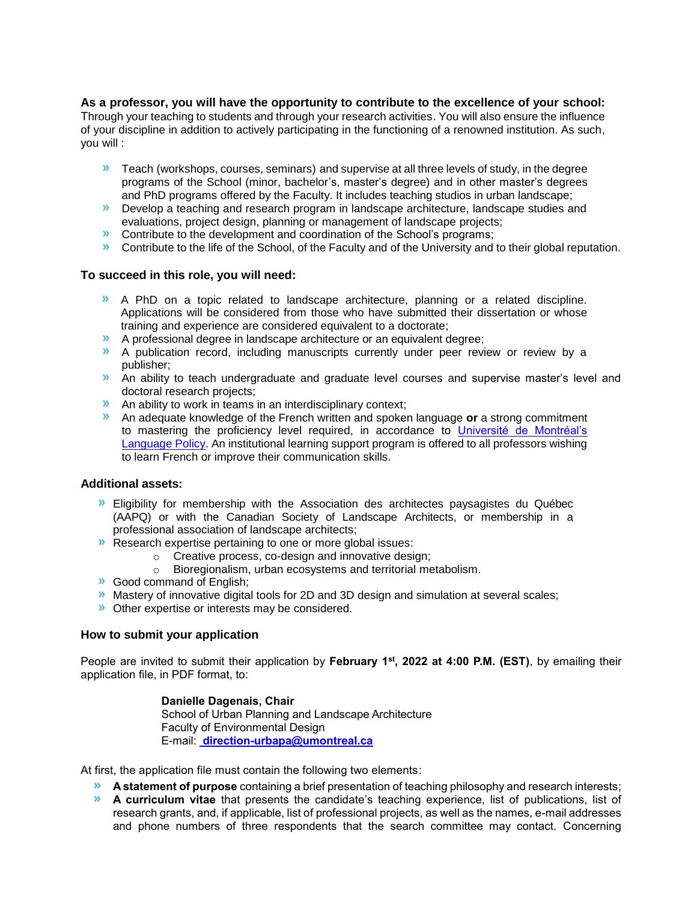# **As a professor, you will have the opportunity to contribute to the excellence of your school:**

Through your teaching to students and through your research activities. You will also ensure the influence of your discipline in addition to actively participating in the functioning of a renowned institution. As such, you will :

- **X** Teach (workshops, courses, seminars) and supervise at all three levels of study, in the degree programs of the School (minor, bachelor's, master's degree) and in other master's degrees and PhD programs offered by the Faculty. It includes teaching studios in urban landscape;
- **Develop a teaching and research program in landscape architecture, landscape studies and** evaluations, project design, planning or management of landscape projects;
- **DED** Contribute to the development and coordination of the School's programs;
- **DED** Contribute to the life of the School, of the Faculty and of the University and to their global reputation.

# **To succeed in this role, you will need:**

- A PhD on a topic related to landscape architecture, planning or a related discipline. Applications will be considered from those who have submitted their dissertation or whose training and experience are considered equivalent to a doctorate;
- A professional degree in landscape architecture or an equivalent degree;
- A publication record, including manuscripts currently under peer review or review by a publisher;
- **An ability to teach undergraduate and graduate level courses and supervise master's level and** doctoral research projects;
- An ability to work in teams in an interdisciplinary context;
- An adequate knowledge of the French written and spoken language **or** a strong commitment to mastering the proficiency level required, in accordance to [Université de Montréal's](https://francais.umontreal.ca/politique-linguistique/la-politique-linguistique-en-bref/)  [Language Policy.](https://francais.umontreal.ca/politique-linguistique/la-politique-linguistique-en-bref/) An institutional learning support program is offered to all professors wishing to learn French or improve their communication skills.

#### **Additional assets:**

- Eligibility for membership with the Association des architectes paysagistes du Québec (AAPQ) or with the Canadian Society of Landscape Architects, or membership in a professional association of landscape architects;
- **EXECUTE:** Research expertise pertaining to one or more global issues:
	- Creative process, co-design and innovative design;<br>○ Bioregionalism, urban ecosystems and territorial me
		- Bioregionalism, urban ecosystems and territorial metabolism.
- **Good command of English;**
- **Mastery of innovative digital tools for 2D and 3D design and simulation at several scales;**
- **D** Other expertise or interests may be considered.

#### **How to submit your application**

People are invited to submit their application by **February 1st, 2022 at 4:00 P.M. (EST)**, by emailing their application file, in PDF format, to:

### **Danielle Dagenais, Chair**

School of Urban Planning and Landscape Architecture Faculty of Environmental Design E-mail: **[direction-urbapa@umontreal.ca](mailto:%20direction-urbapa@umontreal.ca)**

At first, the application file must contain the following two elements:

- **A statement of purpose** containing a brief presentation of teaching philosophy and research interests;
- **A curriculum vitae** that presents the candidate's teaching experience, list of publications, list of research grants, and, if applicable, list of professional projects, as well as the names, e-mail addresses and phone numbers of three respondents that the search committee may contact. Concerning